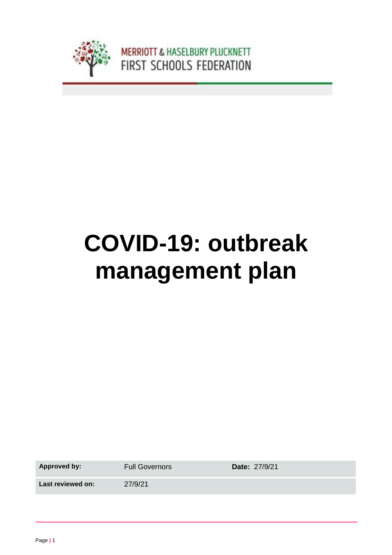

# **COVID-19: outbreak management plan**

Approved by: Full Governors **Date:** 27/9/21

Last reviewed on: 27/9/21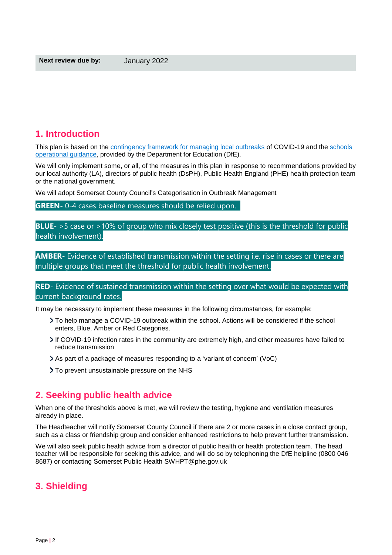# **1. Introduction**

This plan is based on the [contingency framework for managing local outbreaks](https://www.gov.uk/government/publications/coronavirus-covid-19-local-restrictions-in-education-and-childcare-settings) of COVID-19 and the schools [operational guidance,](https://www.gov.uk/government/publications/actions-for-schools-during-the-coronavirus-outbreak) provided by the Department for Education (DfE).

We will only implement some, or all, of the measures in this plan in response to recommendations provided by our local authority (LA), directors of public health (DsPH), Public Health England (PHE) health protection team or the national government.

We will adopt Somerset County Council's Categorisation in Outbreak Management

**GREEN-** 0-4 cases baseline measures should be relied upon.

**BLUE**- >5 case or >10% of group who mix closely test positive (this is the threshold for public health involvement).

**AMBER-** Evidence of established transmission within the setting i.e. rise in cases or there are multiple groups that meet the threshold for public health involvement.

**RED**- Evidence of sustained transmission within the setting over what would be expected with current background rates.

It may be necessary to implement these measures in the following circumstances, for example:

- To help manage a COVID-19 outbreak within the school. Actions will be considered if the school enters, Blue, Amber or Red Categories.
- If COVID-19 infection rates in the community are extremely high, and other measures have failed to reduce transmission
- As part of a package of measures responding to a 'variant of concern' (VoC)
- > To prevent unsustainable pressure on the NHS

## **2. Seeking public health advice**

When one of the thresholds above is met, we will review the testing, hygiene and ventilation measures already in place.

The Headteacher will notify Somerset County Council if there are 2 or more cases in a close contact group, such as a class or friendship group and consider enhanced restrictions to help prevent further transmission.

We will also seek public health advice from a director of public health or health protection team. The head teacher will be responsible for seeking this advice, and will do so by telephoning the DfE helpline (0800 046 8687) or contacting Somerset Public Health SWHPT@phe.gov.uk

## **3. Shielding**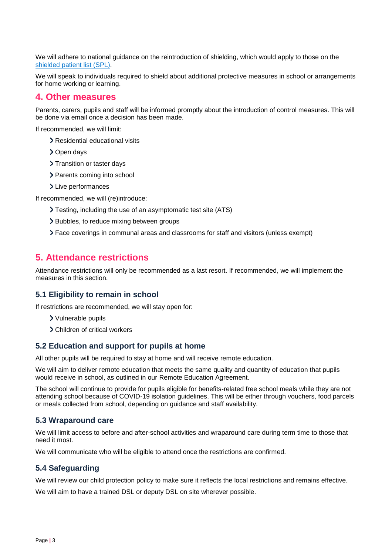We will adhere to national guidance on the reintroduction of shielding, which would apply to those on the shielded [patient list \(SPL\).](https://digital.nhs.uk/coronavirus/shielded-patient-list)

We will speak to individuals required to shield about additional protective measures in school or arrangements for home working or learning.

## **4. Other measures**

Parents, carers, pupils and staff will be informed promptly about the introduction of control measures. This will be done via email once a decision has been made.

If recommended, we will limit:

- > Residential educational visits
- > Open days
- > Transition or taster days
- > Parents coming into school
- > Live performances

If recommended, we will (re)introduce:

- Testing, including the use of an asymptomatic test site (ATS)
- > Bubbles, to reduce mixing between groups
- Face coverings in communal areas and classrooms for staff and visitors (unless exempt)

## **5. Attendance restrictions**

Attendance restrictions will only be recommended as a last resort. If recommended, we will implement the measures in this section.

### **5.1 Eligibility to remain in school**

If restrictions are recommended, we will stay open for:

- Vulnerable pupils
- Children of critical workers

### **5.2 Education and support for pupils at home**

All other pupils will be required to stay at home and will receive remote education.

We will aim to deliver remote education that meets the same quality and quantity of education that pupils would receive in school, as outlined in our Remote Education Agreement.

The school will continue to provide for pupils eligible for benefits-related free school meals while they are not attending school because of COVID-19 isolation guidelines. This will be either through vouchers, food parcels or meals collected from school, depending on guidance and staff availability.

### **5.3 Wraparound care**

We will limit access to before and after-school activities and wraparound care during term time to those that need it most.

We will communicate who will be eligible to attend once the restrictions are confirmed.

### **5.4 Safeguarding**

We will review our child protection policy to make sure it reflects the local restrictions and remains effective.

We will aim to have a trained DSL or deputy DSL on site wherever possible.